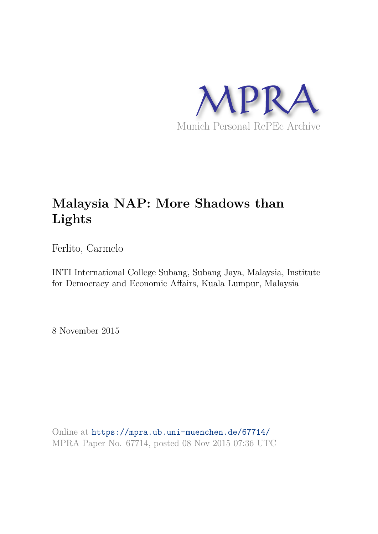

# **Malaysia NAP: More Shadows than Lights**

Ferlito, Carmelo

INTI International College Subang, Subang Jaya, Malaysia, Institute for Democracy and Economic Affairs, Kuala Lumpur, Malaysia

8 November 2015

Online at https://mpra.ub.uni-muenchen.de/67714/ MPRA Paper No. 67714, posted 08 Nov 2015 07:36 UTC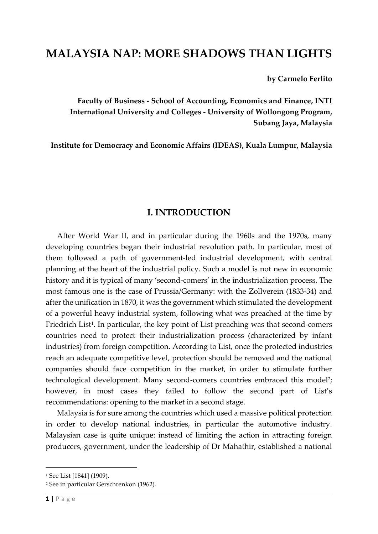# **MALAYSIA NAP: MORE SHADOWS THAN LIGHTS**

**by Carmelo Ferlito** 

**Faculty of Business - School of Accounting, Economics and Finance, INTI International University and Colleges - University of Wollongong Program, Subang Jaya, Malaysia** 

**Institute for Democracy and Economic Affairs (IDEAS), Kuala Lumpur, Malaysia** 

#### **I. INTRODUCTION**

After World War II, and in particular during the 1960s and the 1970s, many developing countries began their industrial revolution path. In particular, most of them followed a path of government-led industrial development, with central planning at the heart of the industrial policy. Such a model is not new in economic history and it is typical of many 'second-comers' in the industrialization process. The most famous one is the case of Prussia/Germany: with the Zollverein (1833-34) and after the unification in 1870, it was the government which stimulated the development of a powerful heavy industrial system, following what was preached at the time by Friedrich List<sup>1</sup>. In particular, the key point of List preaching was that second-comers countries need to protect their industrialization process (characterized by infant industries) from foreign competition. According to List, once the protected industries reach an adequate competitive level, protection should be removed and the national companies should face competition in the market, in order to stimulate further technological development. Many second-comers countries embraced this model<sup>2</sup>; however, in most cases they failed to follow the second part of List's recommendations: opening to the market in a second stage.

Malaysia is for sure among the countries which used a massive political protection in order to develop national industries, in particular the automotive industry. Malaysian case is quite unique: instead of limiting the action in attracting foreign producers, government, under the leadership of Dr Mahathir, established a national

<sup>1</sup> See List [1841] (1909).

<sup>2</sup> See in particular Gerschrenkon (1962).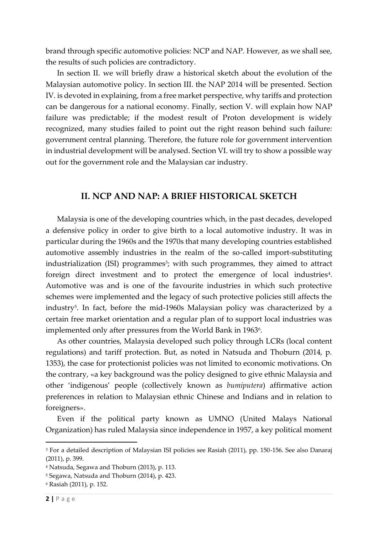brand through specific automotive policies: NCP and NAP. However, as we shall see, the results of such policies are contradictory.

In section II. we will briefly draw a historical sketch about the evolution of the Malaysian automotive policy. In section III. the NAP 2014 will be presented. Section IV. is devoted in explaining, from a free market perspective, why tariffs and protection can be dangerous for a national economy. Finally, section V. will explain how NAP failure was predictable; if the modest result of Proton development is widely recognized, many studies failed to point out the right reason behind such failure: government central planning. Therefore, the future role for government intervention in industrial development will be analysed. Section VI. will try to show a possible way out for the government role and the Malaysian car industry.

#### **II. NCP AND NAP: A BRIEF HISTORICAL SKETCH**

Malaysia is one of the developing countries which, in the past decades, developed a defensive policy in order to give birth to a local automotive industry. It was in particular during the 1960s and the 1970s that many developing countries established automotive assembly industries in the realm of the so-called import-substituting industrialization (ISI) programmes<sup>3</sup>; with such programmes, they aimed to attract foreign direct investment and to protect the emergence of local industries<sup>4</sup>. Automotive was and is one of the favourite industries in which such protective schemes were implemented and the legacy of such protective policies still affects the industry<sup>5</sup> . In fact, before the mid-1960s Malaysian policy was characterized by a certain free market orientation and a regular plan of to support local industries was implemented only after pressures from the World Bank in 1963<sup>6</sup>.

As other countries, Malaysia developed such policy through LCRs (local content regulations) and tariff protection. But, as noted in Natsuda and Thoburn (2014, p. 1353), the case for protectionist policies was not limited to economic motivations. On the contrary, «a key background was the policy designed to give ethnic Malaysia and other 'indigenous' people (collectively known as *bumiputera*) affirmative action preferences in relation to Malaysian ethnic Chinese and Indians and in relation to foreigners».

Even if the political party known as UMNO (United Malays National Organization) has ruled Malaysia since independence in 1957, a key political moment

<sup>3</sup> For a detailed description of Malaysian ISI policies see Rasiah (2011), pp. 150-156. See also Danaraj (2011), p. 399.

<sup>4</sup> Natsuda, Segawa and Thoburn (2013), p. 113.

<sup>5</sup> Segawa, Natsuda and Thoburn (2014), p. 423.

<sup>6</sup> Rasiah (2011), p. 152.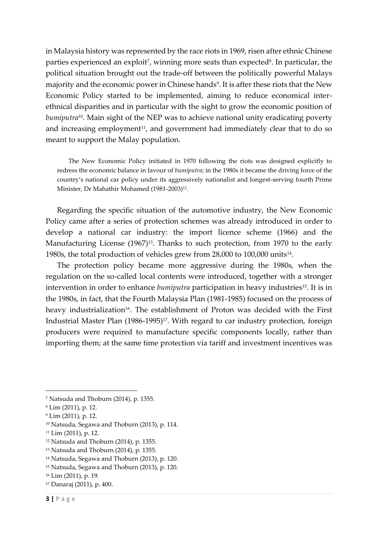in Malaysia history was represented by the race riots in 1969, risen after ethnic Chinese parties experienced an exploit<sup>7</sup>, winning more seats than expected<sup>8</sup>. In particular, the political situation brought out the trade-off between the politically powerful Malays majority and the economic power in Chinese hands<sup>9</sup>. It is after these riots that the New Economic Policy started to be implemented, aiming to reduce economical interethnical disparities and in particular with the sight to grow the economic position of *bumiputra*10. Main sight of the NEP was to achieve national unity eradicating poverty and increasing employment<sup>11</sup>, and government had immediately clear that to do so meant to support the Malay population.

The New Economic Policy initiated in 1970 following the riots was designed explicitly to redress the economic balance in favour of *bumiputra*; in the 1980s it became the driving force of the country's national car policy under its aggressively nationalist and longest-serving fourth Prime Minister, Dr Mahathir Mohamed (1981-2003)<sup>12</sup> .

Regarding the specific situation of the automotive industry, the New Economic Policy came after a series of protection schemes was already introduced in order to develop a national car industry: the import licence scheme (1966) and the Manufacturing License (1967)<sup>13</sup>. Thanks to such protection, from 1970 to the early 1980s, the total production of vehicles grew from 28,000 to 100,000 units<sup>14</sup>.

The protection policy became more aggressive during the 1980s, when the regulation on the so-called local contents were introduced, together with a stronger intervention in order to enhance *bumiputra* participation in heavy industries<sup>15</sup>. It is in the 1980s, in fact, that the Fourth Malaysia Plan (1981-1985) focused on the process of heavy industrialization<sup>16</sup>. The establishment of Proton was decided with the First Industrial Master Plan (1986-1995)<sup>17</sup>. With regard to car industry protection, foreign producers were required to manufacture specific components locally, rather than importing them; at the same time protection via tariff and investment incentives was

<sup>7</sup> Natsuda and Thoburn (2014), p. 1355.

<sup>8</sup> Lim (2011), p. 12.

<sup>9</sup> Lim (2011), p. 12.

<sup>10</sup> Natsuda, Segawa and Thoburn (2013), p. 114.

<sup>11</sup> Lim (2011), p. 12.

<sup>12</sup> Natsuda and Thoburn (2014), p. 1355.

<sup>13</sup> Natsuda and Thoburn (2014), p. 1355.

<sup>14</sup> Natsuda, Segawa and Thoburn (2013), p. 120.

<sup>15</sup> Natsuda, Segawa and Thoburn (2013), p. 120.

<sup>16</sup> Lim (2011), p. 19.

<sup>17</sup> Danaraj (2011), p. 400.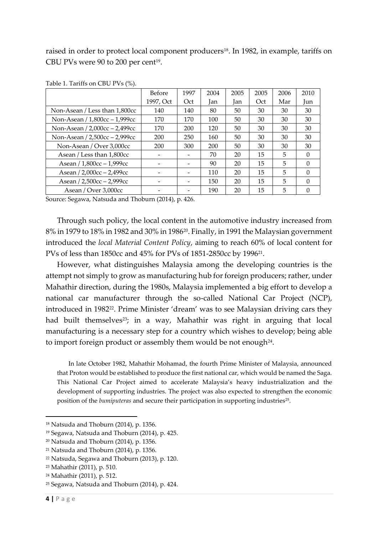raised in order to protect local component producers<sup>18</sup>. In 1982, in example, tariffs on CBU PVs were  $90$  to 200 per cent<sup>19</sup>.

|                                 | <b>Before</b> | 1997 | 2004 | 2005 | 2005 | 2006 | 2010     |
|---------------------------------|---------------|------|------|------|------|------|----------|
|                                 | 1997, Oct     | Oct  | Jan  | Jan  | Oct  | Mar  | Jun      |
| Non-Asean / Less than 1,800cc   | 140           | 140  | 80   | 50   | 30   | 30   | 30       |
| Non-Asean $/ 1,800cc - 1,999cc$ | 170           | 170  | 100  | 50   | 30   | 30   | 30       |
| Non-Asean / 2,000cc - 2,499cc   | 170           | 200  | 120  | 50   | 30   | 30   | 30       |
| Non-Asean $/ 2,500cc - 2,999cc$ | 200           | 250  | 160  | 50   | 30   | 30   | 30       |
| Non-Asean / Over 3,000cc        | 200           | 300  | 200  | 50   | 30   | 30   | 30       |
| Asean / Less than 1,800cc       |               |      | 70   | 20   | 15   | 5    | $\Omega$ |
| Asean $/ 1,800cc - 1,999cc$     |               |      | 90   | 20   | 15   | 5    | $\Omega$ |
| Asean $/ 2,000cc - 2,499cc$     |               |      | 110  | 20   | 15   | 5    | $\Omega$ |
| Asean / 2,500cc - 2,999cc       |               |      | 150  | 20   | 15   | 5    | $\Omega$ |
| Asean / Over 3.000cc            |               |      | 190  | 20   | 15   | 5    | $\Omega$ |

Table 1. Tariffs on CBU PVs (%).

Source: Segawa, Natsuda and Thoburn (2014), p. 426.

Through such policy, the local content in the automotive industry increased from 8% in 1979 to 18% in 1982 and 30% in 198620. Finally, in 1991 the Malaysian government introduced the *local Material Content Policy*, aiming to reach 60% of local content for PVs of less than 1850cc and 45% for PVs of 1851-2850cc by 1996<sup>21</sup>.

However, what distinguishes Malaysia among the developing countries is the attempt not simply to grow as manufacturing hub for foreign producers; rather, under Mahathir direction, during the 1980s, Malaysia implemented a big effort to develop a national car manufacturer through the so-called National Car Project (NCP), introduced in 1982<sup>22</sup>. Prime Minister 'dream' was to see Malaysian driving cars they had built themselves<sup>23</sup>; in a way, Mahathir was right in arguing that local manufacturing is a necessary step for a country which wishes to develop; being able to import foreign product or assembly them would be not enough $24$ .

In late October 1982, Mahathir Mohamad, the fourth Prime Minister of Malaysia, announced that Proton would be established to produce the first national car, which would be named the Saga. This National Car Project aimed to accelerate Malaysia's heavy industrialization and the development of supporting industries. The project was also expected to strengthen the economic position of the *bumiputeras* and secure their participation in supporting industries<sup>25</sup>.

<sup>18</sup> Natsuda and Thoburn (2014), p. 1356.

<sup>19</sup> Segawa, Natsuda and Thoburn (2014), p. 425.

<sup>20</sup> Natsuda and Thoburn (2014), p. 1356.

<sup>21</sup> Natsuda and Thoburn (2014), p. 1356.

<sup>22</sup> Natsuda, Segawa and Thoburn (2013), p. 120.

<sup>23</sup> Mahathir (2011), p. 510.

<sup>24</sup> Mahathir (2011), p. 512.

<sup>25</sup> Segawa, Natsuda and Thoburn (2014), p. 424.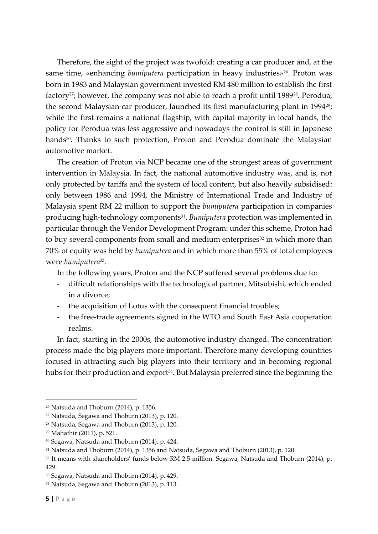Therefore, the sight of the project was twofold: creating a car producer and, at the same time, «enhancing *bumiputera* participation in heavy industries»<sup>26</sup>. Proton was born in 1983 and Malaysian government invested RM 480 million to establish the first factory<sup>27</sup>; however, the company was not able to reach a profit until 1989<sup>28</sup>. Perodua, the second Malaysian car producer, launched its first manufacturing plant in 1994<sup>29</sup>; while the first remains a national flagship, with capital majority in local hands, the policy for Perodua was less aggressive and nowadays the control is still in Japanese hands<sup>30</sup>. Thanks to such protection, Proton and Perodua dominate the Malaysian automotive market.

The creation of Proton via NCP became one of the strongest areas of government intervention in Malaysia. In fact, the national automotive industry was, and is, not only protected by tariffs and the system of local content, but also heavily subsidised: only between 1986 and 1994, the Ministry of International Trade and Industry of Malaysia spent RM 22 million to support the *bumiputera* participation in companies producing high-technology components<sup>31</sup>. Bumiputera protection was implemented in particular through the Vendor Development Program: under this scheme, Proton had to buy several components from small and medium enterprises<sup>32</sup> in which more than 70% of equity was held by *bumiputera* and in which more than 55% of total employees were *bumiputera*<sup>33</sup> .

In the following years, Proton and the NCP suffered several problems due to:

- difficult relationships with the technological partner, Mitsubishi, which ended in a divorce;
- the acquisition of Lotus with the consequent financial troubles;
- the free-trade agreements signed in the WTO and South East Asia cooperation realms.

In fact, starting in the 2000s, the automotive industry changed. The concentration process made the big players more important. Therefore many developing countries focused in attracting such big players into their territory and in becoming regional hubs for their production and export<sup>34</sup>. But Malaysia preferred since the beginning the

<sup>26</sup> Natsuda and Thoburn (2014), p. 1356.

<sup>27</sup> Natsuda, Segawa and Thoburn (2013), p. 120.

<sup>28</sup> Natsuda, Segawa and Thoburn (2013), p. 120.

<sup>29</sup> Mahathir (2011), p. 521.

<sup>30</sup> Segawa, Natsuda and Thoburn (2014), p. 424.

<sup>31</sup> Natsuda and Thoburn (2014), p. 1356 and Natsuda, Segawa and Thoburn (2013), p. 120.

<sup>32</sup> It means with shareholders' funds below RM 2.5 million. Segawa, Natsuda and Thoburn (2014), p. 429.

<sup>33</sup> Segawa, Natsuda and Thoburn (2014), p. 429.

<sup>34</sup> Natsuda, Segawa and Thoburn (2013), p. 113.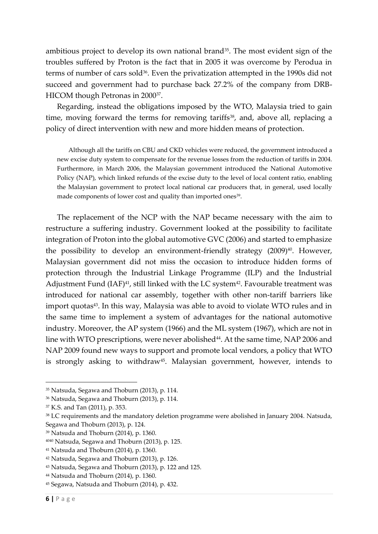ambitious project to develop its own national brand<sup>35</sup>. The most evident sign of the troubles suffered by Proton is the fact that in 2005 it was overcome by Perodua in terms of number of cars sold36. Even the privatization attempted in the 1990s did not succeed and government had to purchase back 27.2% of the company from DRB-HICOM though Petronas in 2000<sup>37</sup> .

Regarding, instead the obligations imposed by the WTO, Malaysia tried to gain time, moving forward the terms for removing tariffs<sup>38</sup>, and, above all, replacing a policy of direct intervention with new and more hidden means of protection.

Although all the tariffs on CBU and CKD vehicles were reduced, the government introduced a new excise duty system to compensate for the revenue losses from the reduction of tariffs in 2004. Furthermore, in March 2006, the Malaysian government introduced the National Automotive Policy (NAP), which linked refunds of the excise duty to the level of local content ratio, enabling the Malaysian government to protect local national car producers that, in general, used locally made components of lower cost and quality than imported ones<sup>39</sup>.

The replacement of the NCP with the NAP became necessary with the aim to restructure a suffering industry. Government looked at the possibility to facilitate integration of Proton into the global automotive GVC (2006) and started to emphasize the possibility to develop an environment-friendly strategy  $(2009)^{40}$ . However, Malaysian government did not miss the occasion to introduce hidden forms of protection through the Industrial Linkage Programme (ILP) and the Industrial Adjustment Fund  $(IAF)^{41}$ , still linked with the LC system<sup>42</sup>. Favourable treatment was introduced for national car assembly, together with other non-tariff barriers like import quotas<sup>43</sup>. In this way, Malaysia was able to avoid to violate WTO rules and in the same time to implement a system of advantages for the national automotive industry. Moreover, the AP system (1966) and the ML system (1967), which are not in line with WTO prescriptions, were never abolished<sup>44</sup>. At the same time, NAP 2006 and NAP 2009 found new ways to support and promote local vendors, a policy that WTO is strongly asking to withdraw<sup>45</sup>. Malaysian government, however, intends to

<sup>35</sup> Natsuda, Segawa and Thoburn (2013), p. 114.

<sup>36</sup> Natsuda, Segawa and Thoburn (2013), p. 114.

<sup>37</sup> K.S. and Tan (2011), p. 353.

<sup>38</sup> LC requirements and the mandatory deletion programme were abolished in January 2004. Natsuda, Segawa and Thoburn (2013), p. 124.

<sup>39</sup> Natsuda and Thoburn (2014), p. 1360.

<sup>4040</sup> Natsuda, Segawa and Thoburn (2013), p. 125.

<sup>41</sup> Natsuda and Thoburn (2014), p. 1360.

<sup>42</sup> Natsuda, Segawa and Thoburn (2013), p. 126.

<sup>43</sup> Natsuda, Segawa and Thoburn (2013), p. 122 and 125.

<sup>44</sup> Natsuda and Thoburn (2014), p. 1360.

<sup>45</sup> Segawa, Natsuda and Thoburn (2014), p. 432.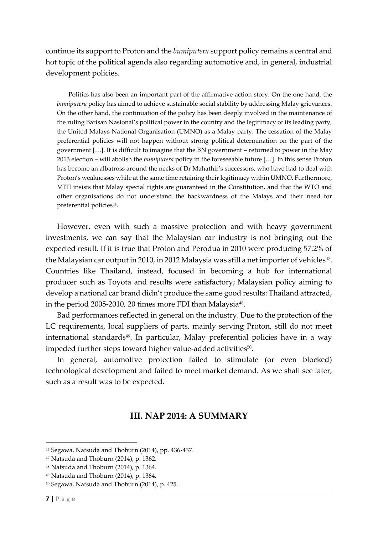continue its support to Proton and the *bumiputera* support policy remains a central and hot topic of the political agenda also regarding automotive and, in general, industrial development policies.

Politics has also been an important part of the affirmative action story. On the one hand, the *bumiputera* policy has aimed to achieve sustainable social stability by addressing Malay grievances. On the other hand, the continuation of the policy has been deeply involved in the maintenance of the ruling Barisan Nasional's political power in the country and the legitimacy of its leading party, the United Malays National Organisation (UMNO) as a Malay party. The cessation of the Malay preferential policies will not happen without strong political determination on the part of the government […]. It is difficult to imagine that the BN government – returned to power in the May 2013 election – will abolish the *bumiputera* policy in the foreseeable future […]. In this sense Proton has become an albatross around the necks of Dr Mahathir's successors, who have had to deal with Proton's weaknesses while at the same time retaining their legitimacy within UMNO. Furthermore, MITI insists that Malay special rights are guaranteed in the Constitution, and that the WTO and other organisations do not understand the backwardness of the Malays and their need for preferential policies<sup>46</sup>.

However, even with such a massive protection and with heavy government investments, we can say that the Malaysian car industry is not bringing out the expected result. If it is true that Proton and Perodua in 2010 were producing 57.2% of the Malaysian car output in 2010, in 2012 Malaysia was still a net importer of vehicles $47$ . Countries like Thailand, instead, focused in becoming a hub for international producer such as Toyota and results were satisfactory; Malaysian policy aiming to develop a national car brand didn't produce the same good results: Thailand attracted, in the period 2005-2010, 20 times more FDI than Malaysia<sup>48</sup>.

Bad performances reflected in general on the industry. Due to the protection of the LC requirements, local suppliers of parts, mainly serving Proton, still do not meet international standards<sup>49</sup>. In particular, Malay preferential policies have in a way impeded further steps toward higher value-added activities $50$ .

In general, automotive protection failed to stimulate (or even blocked) technological development and failed to meet market demand. As we shall see later, such as a result was to be expected.

#### **III. NAP 2014: A SUMMARY**

<sup>46</sup> Segawa, Natsuda and Thoburn (2014), pp. 436-437.

<sup>47</sup> Natsuda and Thoburn (2014), p. 1362.

<sup>48</sup> Natsuda and Thoburn (2014), p. 1364.

<sup>49</sup> Natsuda and Thoburn (2014), p. 1364.

<sup>50</sup> Segawa, Natsuda and Thoburn (2014), p. 425.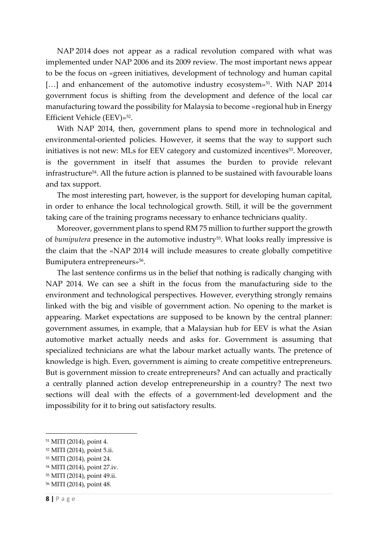NAP 2014 does not appear as a radical revolution compared with what was implemented under NAP 2006 and its 2009 review. The most important news appear to be the focus on «green initiatives, development of technology and human capital [...] and enhancement of the automotive industry ecosystem»<sup>51</sup>. With NAP 2014 government focus is shifting from the development and defence of the local car manufacturing toward the possibility for Malaysia to become «regional hub in Energy Efficient Vehicle (EEV)»<sup>52</sup>.

With NAP 2014, then, government plans to spend more in technological and environmental-oriented policies. However, it seems that the way to support such initiatives is not new: MLs for EEV category and customized incentives<sup>53</sup>. Moreover, is the government in itself that assumes the burden to provide relevant infrastructure54. All the future action is planned to be sustained with favourable loans and tax support.

The most interesting part, however, is the support for developing human capital, in order to enhance the local technological growth. Still, it will be the government taking care of the training programs necessary to enhance technicians quality.

Moreover, government plans to spend RM 75 million to further support the growth of *bumiputera* presence in the automotive industry<sup>55</sup>. What looks really impressive is the claim that the «NAP 2014 will include measures to create globally competitive Bumiputera entrepreneurs»<sup>56</sup>.

The last sentence confirms us in the belief that nothing is radically changing with NAP 2014. We can see a shift in the focus from the manufacturing side to the environment and technological perspectives. However, everything strongly remains linked with the big and visible of government action. No opening to the market is appearing. Market expectations are supposed to be known by the central planner: government assumes, in example, that a Malaysian hub for EEV is what the Asian automotive market actually needs and asks for. Government is assuming that specialized technicians are what the labour market actually wants. The pretence of knowledge is high. Even, government is aiming to create competitive entrepreneurs. But is government mission to create entrepreneurs? And can actually and practically a centrally planned action develop entrepreneurship in a country? The next two sections will deal with the effects of a government-led development and the impossibility for it to bring out satisfactory results.

<sup>51</sup> MITI (2014), point 4.

<sup>52</sup> MITI (2014), point 5.ii.

<sup>53</sup> MITI (2014), point 24.

<sup>54</sup> MITI (2014), point 27.iv.

<sup>55</sup> MITI (2014), point 49.ii.

<sup>56</sup> MITI (2014), point 48.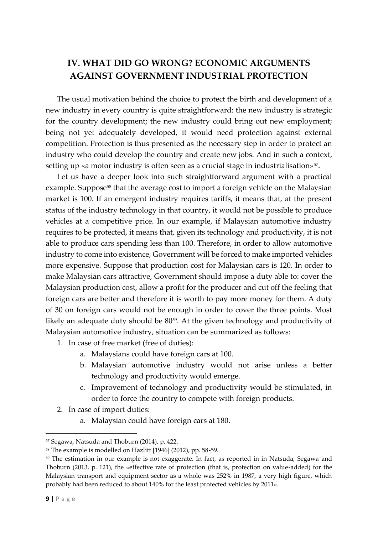## **IV. WHAT DID GO WRONG? ECONOMIC ARGUMENTS AGAINST GOVERNMENT INDUSTRIAL PROTECTION**

The usual motivation behind the choice to protect the birth and development of a new industry in every country is quite straightforward: the new industry is strategic for the country development; the new industry could bring out new employment; being not yet adequately developed, it would need protection against external competition. Protection is thus presented as the necessary step in order to protect an industry who could develop the country and create new jobs. And in such a context, setting up «a motor industry is often seen as a crucial stage in industrialisation» $57$ .

Let us have a deeper look into such straightforward argument with a practical example. Suppose<sup>58</sup> that the average cost to import a foreign vehicle on the Malaysian market is 100. If an emergent industry requires tariffs, it means that, at the present status of the industry technology in that country, it would not be possible to produce vehicles at a competitive price. In our example, if Malaysian automotive industry requires to be protected, it means that, given its technology and productivity, it is not able to produce cars spending less than 100. Therefore, in order to allow automotive industry to come into existence, Government will be forced to make imported vehicles more expensive. Suppose that production cost for Malaysian cars is 120. In order to make Malaysian cars attractive, Government should impose a duty able to: cover the Malaysian production cost, allow a profit for the producer and cut off the feeling that foreign cars are better and therefore it is worth to pay more money for them. A duty of 30 on foreign cars would not be enough in order to cover the three points. Most likely an adequate duty should be 80<sup>59</sup>. At the given technology and productivity of Malaysian automotive industry, situation can be summarized as follows:

- 1. In case of free market (free of duties):
	- a. Malaysians could have foreign cars at 100.
	- b. Malaysian automotive industry would not arise unless a better technology and productivity would emerge.
	- c. Improvement of technology and productivity would be stimulated, in order to force the country to compete with foreign products.
- 2. In case of import duties:
	- a. Malaysian could have foreign cars at 180.

<sup>57</sup> Segawa, Natsuda and Thoburn (2014), p. 422.

<sup>58</sup> The example is modelled on Hazlitt [1946] (2012), pp. 58-59.

<sup>59</sup> The estimation in our example is not exaggerate. In fact, as reported in in Natsuda, Segawa and Thoburn (2013, p. 121), the «effective rate of protection (that is, protection on value-added) for the Malaysian transport and equipment sector as a whole was 252% in 1987, a very high figure, which probably had been reduced to about 140% for the least protected vehicles by 2011».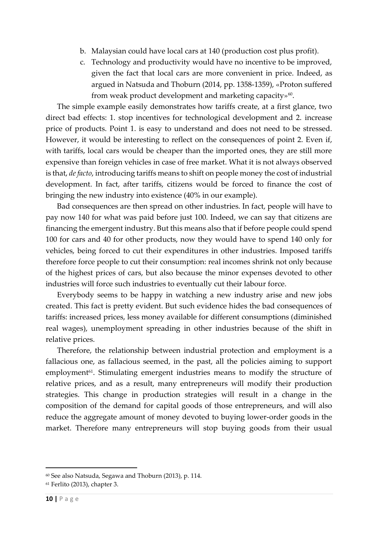- b. Malaysian could have local cars at 140 (production cost plus profit).
- c. Technology and productivity would have no incentive to be improved, given the fact that local cars are more convenient in price. Indeed, as argued in Natsuda and Thoburn (2014, pp. 1358-1359), «Proton suffered from weak product development and marketing capacity» $^{60}$ .

The simple example easily demonstrates how tariffs create, at a first glance, two direct bad effects: 1. stop incentives for technological development and 2. increase price of products. Point 1. is easy to understand and does not need to be stressed. However, it would be interesting to reflect on the consequences of point 2. Even if, with tariffs, local cars would be cheaper than the imported ones, they are still more expensive than foreign vehicles in case of free market. What it is not always observed is that, *de facto*, introducing tariffs means to shift on people money the cost of industrial development. In fact, after tariffs, citizens would be forced to finance the cost of bringing the new industry into existence (40% in our example).

Bad consequences are then spread on other industries. In fact, people will have to pay now 140 for what was paid before just 100. Indeed, we can say that citizens are financing the emergent industry. But this means also that if before people could spend 100 for cars and 40 for other products, now they would have to spend 140 only for vehicles, being forced to cut their expenditures in other industries. Imposed tariffs therefore force people to cut their consumption: real incomes shrink not only because of the highest prices of cars, but also because the minor expenses devoted to other industries will force such industries to eventually cut their labour force.

Everybody seems to be happy in watching a new industry arise and new jobs created. This fact is pretty evident. But such evidence hides the bad consequences of tariffs: increased prices, less money available for different consumptions (diminished real wages), unemployment spreading in other industries because of the shift in relative prices.

Therefore, the relationship between industrial protection and employment is a fallacious one, as fallacious seemed, in the past, all the policies aiming to support employment<sup>61</sup>. Stimulating emergent industries means to modify the structure of relative prices, and as a result, many entrepreneurs will modify their production strategies. This change in production strategies will result in a change in the composition of the demand for capital goods of those entrepreneurs, and will also reduce the aggregate amount of money devoted to buying lower-order goods in the market. Therefore many entrepreneurs will stop buying goods from their usual

<sup>60</sup> See also Natsuda, Segawa and Thoburn (2013), p. 114.

<sup>61</sup> Ferlito (2013), chapter 3.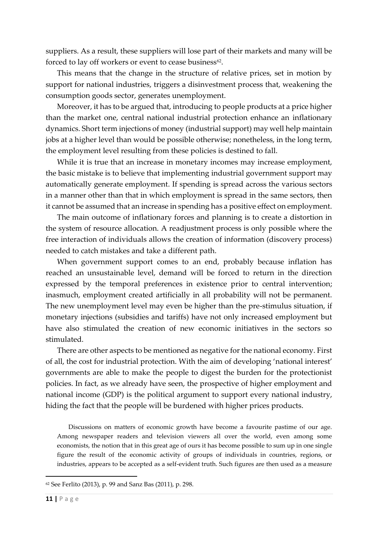suppliers. As a result, these suppliers will lose part of their markets and many will be forced to lay off workers or event to cease business $62$ .

This means that the change in the structure of relative prices, set in motion by support for national industries, triggers a disinvestment process that, weakening the consumption goods sector, generates unemployment.

Moreover, it has to be argued that, introducing to people products at a price higher than the market one, central national industrial protection enhance an inflationary dynamics. Short term injections of money (industrial support) may well help maintain jobs at a higher level than would be possible otherwise; nonetheless, in the long term, the employment level resulting from these policies is destined to fall.

While it is true that an increase in monetary incomes may increase employment, the basic mistake is to believe that implementing industrial government support may automatically generate employment. If spending is spread across the various sectors in a manner other than that in which employment is spread in the same sectors, then it cannot be assumed that an increase in spending has a positive effect on employment.

The main outcome of inflationary forces and planning is to create a distortion in the system of resource allocation. A readjustment process is only possible where the free interaction of individuals allows the creation of information (discovery process) needed to catch mistakes and take a different path.

When government support comes to an end, probably because inflation has reached an unsustainable level, demand will be forced to return in the direction expressed by the temporal preferences in existence prior to central intervention; inasmuch, employment created artificially in all probability will not be permanent. The new unemployment level may even be higher than the pre-stimulus situation, if monetary injections (subsidies and tariffs) have not only increased employment but have also stimulated the creation of new economic initiatives in the sectors so stimulated.

There are other aspects to be mentioned as negative for the national economy. First of all, the cost for industrial protection. With the aim of developing 'national interest' governments are able to make the people to digest the burden for the protectionist policies. In fact, as we already have seen, the prospective of higher employment and national income (GDP) is the political argument to support every national industry, hiding the fact that the people will be burdened with higher prices products.

Discussions on matters of economic growth have become a favourite pastime of our age. Among newspaper readers and television viewers all over the world, even among some economists, the notion that in this great age of ours it has become possible to sum up in one single figure the result of the economic activity of groups of individuals in countries, regions, or industries, appears to be accepted as a self-evident truth. Such figures are then used as a measure

<sup>62</sup> See Ferlito (2013), p. 99 and Sanz Bas (2011), p. 298.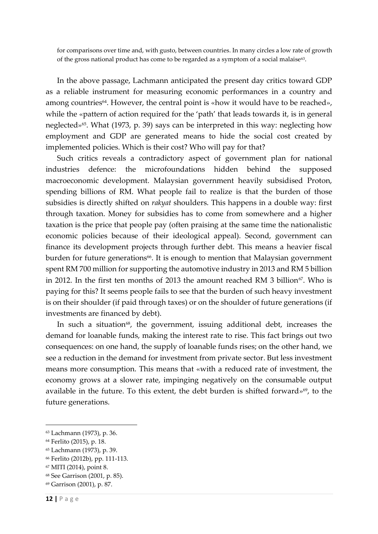for comparisons over time and, with gusto, between countries. In many circles a low rate of growth of the gross national product has come to be regarded as a symptom of a social malaise<sup>63</sup>.

In the above passage, Lachmann anticipated the present day critics toward GDP as a reliable instrument for measuring economic performances in a country and among countries<sup>64</sup>. However, the central point is «how it would have to be reached», while the «pattern of action required for the 'path' that leads towards it, is in general neglected»<sup>65</sup>. What (1973, p. 39) says can be interpreted in this way: neglecting how employment and GDP are generated means to hide the social cost created by implemented policies. Which is their cost? Who will pay for that?

Such critics reveals a contradictory aspect of government plan for national industries defence: the microfoundations hidden behind the supposed macroeconomic development. Malaysian government heavily subsidised Proton, spending billions of RM. What people fail to realize is that the burden of those subsidies is directly shifted on *rakyat* shoulders. This happens in a double way: first through taxation. Money for subsidies has to come from somewhere and a higher taxation is the price that people pay (often praising at the same time the nationalistic economic policies because of their ideological appeal). Second, government can finance its development projects through further debt. This means a heavier fiscal burden for future generations<sup>66</sup>. It is enough to mention that Malaysian government spent RM 700 million for supporting the automotive industry in 2013 and RM 5 billion in 2012. In the first ten months of 2013 the amount reached RM 3 billion<sup>67</sup>. Who is paying for this? It seems people fails to see that the burden of such heavy investment is on their shoulder (if paid through taxes) or on the shoulder of future generations (if investments are financed by debt).

In such a situation<sup>68</sup>, the government, issuing additional debt, increases the demand for loanable funds, making the interest rate to rise. This fact brings out two consequences: on one hand, the supply of loanable funds rises; on the other hand, we see a reduction in the demand for investment from private sector. But less investment means more consumption. This means that «with a reduced rate of investment, the economy grows at a slower rate, impinging negatively on the consumable output available in the future. To this extent, the debt burden is shifted forward» $69$ , to the future generations.

<sup>63</sup> Lachmann (1973), p. 36.

<sup>64</sup> Ferlito (2015), p. 18.

<sup>65</sup> Lachmann (1973), p. 39.

<sup>66</sup> Ferlito (2012b), pp. 111-113.

<sup>67</sup> MITI (2014), point 8.

<sup>68</sup> See Garrison (2001, p. 85).

<sup>69</sup> Garrison (2001), p. 87.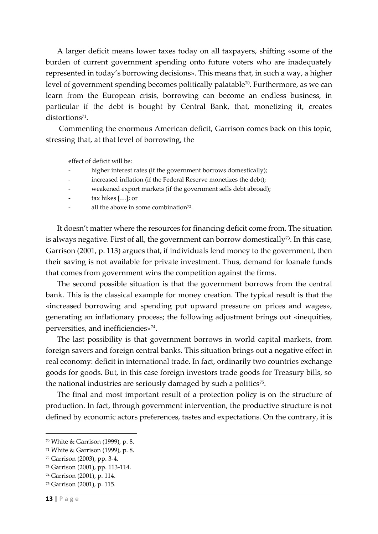A larger deficit means lower taxes today on all taxpayers, shifting «some of the burden of current government spending onto future voters who are inadequately represented in today's borrowing decisions». This means that, in such a way, a higher level of government spending becomes politically palatable<sup>70</sup>. Furthermore, as we can learn from the European crisis, borrowing can become an endless business, in particular if the debt is bought by Central Bank, that, monetizing it, creates distortions<sup>71</sup>.

 Commenting the enormous American deficit, Garrison comes back on this topic, stressing that, at that level of borrowing, the

effect of deficit will be:

- higher interest rates (if the government borrows domestically);
- increased inflation (if the Federal Reserve monetizes the debt);
- weakened export markets (if the government sells debt abroad);
- tax hikes [...]; or
- all the above in some combination<sup>72</sup>.

It doesn't matter where the resources for financing deficit come from. The situation is always negative. First of all, the government can borrow domestically<sup>73</sup>. In this case, Garrison (2001, p. 113) argues that, if individuals lend money to the government, then their saving is not available for private investment. Thus, demand for loanale funds that comes from government wins the competition against the firms.

The second possible situation is that the government borrows from the central bank. This is the classical example for money creation. The typical result is that the «increased borrowing and spending put upward pressure on prices and wages», generating an inflationary process; the following adjustment brings out «inequities, perversities, and inefficiencies»<sup>74</sup> .

The last possibility is that government borrows in world capital markets, from foreign savers and foreign central banks. This situation brings out a negative effect in real economy: deficit in international trade. In fact, ordinarily two countries exchange goods for goods. But, in this case foreign investors trade goods for Treasury bills, so the national industries are seriously damaged by such a politics<sup>75</sup>.

The final and most important result of a protection policy is on the structure of production. In fact, through government intervention, the productive structure is not defined by economic actors preferences, tastes and expectations. On the contrary, it is

<sup>70</sup> White & Garrison (1999), p. 8.

<sup>71</sup> White & Garrison (1999), p. 8.

<sup>72</sup> Garrison (2003), pp. 3-4.

<sup>73</sup> Garrison (2001), pp. 113-114.

<sup>74</sup> Garrison (2001), p. 114.

<sup>75</sup> Garrison (2001), p. 115.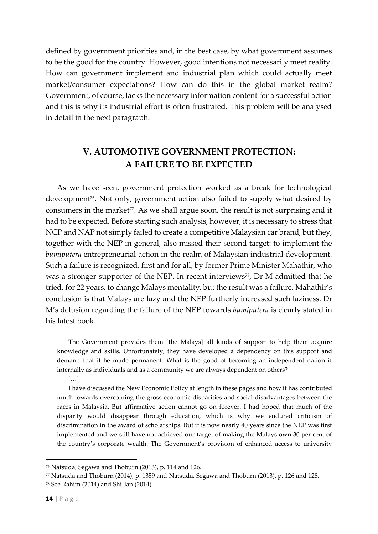defined by government priorities and, in the best case, by what government assumes to be the good for the country. However, good intentions not necessarily meet reality. How can government implement and industrial plan which could actually meet market/consumer expectations? How can do this in the global market realm? Government, of course, lacks the necessary information content for a successful action and this is why its industrial effort is often frustrated. This problem will be analysed in detail in the next paragraph.

### **V. AUTOMOTIVE GOVERNMENT PROTECTION: A FAILURE TO BE EXPECTED**

As we have seen, government protection worked as a break for technological development<sup>76</sup>. Not only, government action also failed to supply what desired by consumers in the market<sup>77</sup>. As we shall argue soon, the result is not surprising and it had to be expected. Before starting such analysis, however, it is necessary to stress that NCP and NAP not simply failed to create a competitive Malaysian car brand, but they, together with the NEP in general, also missed their second target: to implement the *bumiputera* entrepreneurial action in the realm of Malaysian industrial development. Such a failure is recognized, first and for all, by former Prime Minister Mahathir, who was a stronger supporter of the NEP. In recent interviews<sup>78</sup>, Dr M admitted that he tried, for 22 years, to change Malays mentality, but the result was a failure. Mahathir's conclusion is that Malays are lazy and the NEP furtherly increased such laziness. Dr M's delusion regarding the failure of the NEP towards *bumiputera* is clearly stated in his latest book.

The Government provides them [the Malays] all kinds of support to help them acquire knowledge and skills. Unfortunately, they have developed a dependency on this support and demand that it be made permanent. What is the good of becoming an independent nation if internally as individuals and as a community we are always dependent on others?

[…]

I have discussed the New Economic Policy at length in these pages and how it has contributed much towards overcoming the gross economic disparities and social disadvantages between the races in Malaysia. But affirmative action cannot go on forever. I had hoped that much of the disparity would disappear through education, which is why we endured criticism of discrimination in the award of scholarships. But it is now nearly 40 years since the NEP was first implemented and we still have not achieved our target of making the Malays own 30 per cent of the country's corporate wealth. The Government's provision of enhanced access to university

<sup>76</sup> Natsuda, Segawa and Thoburn (2013), p. 114 and 126.

<sup>77</sup> Natsuda and Thoburn (2014), p. 1359 and Natsuda, Segawa and Thoburn (2013), p. 126 and 128.

<sup>78</sup> See Rahim (2014) and Shi-Ian (2014).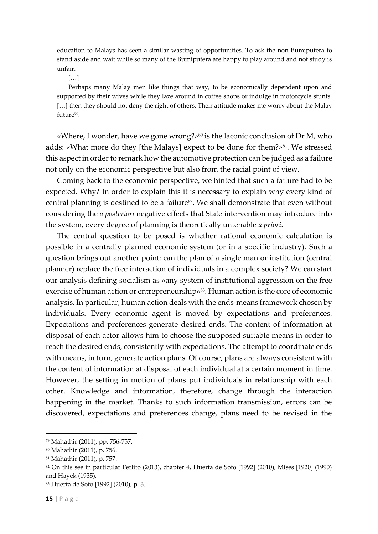education to Malays has seen a similar wasting of opportunities. To ask the non-Bumiputera to stand aside and wait while so many of the Bumiputera are happy to play around and not study is unfair.

[…]

Perhaps many Malay men like things that way, to be economically dependent upon and supported by their wives while they laze around in coffee shops or indulge in motorcycle stunts. [...] then they should not deny the right of others. Their attitude makes me worry about the Malay future<sup>79</sup> .

«Where, I wonder, have we gone wrong?»<sup>80</sup> is the laconic conclusion of Dr M, who adds: «What more do they [the Malays] expect to be done for them?»<sup>81</sup>. We stressed this aspect in order to remark how the automotive protection can be judged as a failure not only on the economic perspective but also from the racial point of view.

Coming back to the economic perspective, we hinted that such a failure had to be expected. Why? In order to explain this it is necessary to explain why every kind of central planning is destined to be a failure<sup>82</sup>. We shall demonstrate that even without considering the *a posteriori* negative effects that State intervention may introduce into the system, every degree of planning is theoretically untenable *a priori*.

The central question to be posed is whether rational economic calculation is possible in a centrally planned economic system (or in a specific industry). Such a question brings out another point: can the plan of a single man or institution (central planner) replace the free interaction of individuals in a complex society? We can start our analysis defining socialism as «any system of institutional aggression on the free exercise of human action or entrepreneurship»<sup>83</sup>. Human action is the core of economic analysis. In particular, human action deals with the ends-means framework chosen by individuals. Every economic agent is moved by expectations and preferences. Expectations and preferences generate desired ends. The content of information at disposal of each actor allows him to choose the supposed suitable means in order to reach the desired ends, consistently with expectations. The attempt to coordinate ends with means, in turn, generate action plans. Of course, plans are always consistent with the content of information at disposal of each individual at a certain moment in time. However, the setting in motion of plans put individuals in relationship with each other. Knowledge and information, therefore, change through the interaction happening in the market. Thanks to such information transmission, errors can be discovered, expectations and preferences change, plans need to be revised in the

<sup>79</sup> Mahathir (2011), pp. 756-757.

<sup>80</sup> Mahathir (2011), p. 756.

<sup>81</sup> Mahathir (2011), p. 757.

<sup>82</sup> On this see in particular Ferlito (2013), chapter 4, Huerta de Soto [1992] (2010), Mises [1920] (1990) and Hayek (1935).

<sup>83</sup> Huerta de Soto [1992] (2010), p. 3.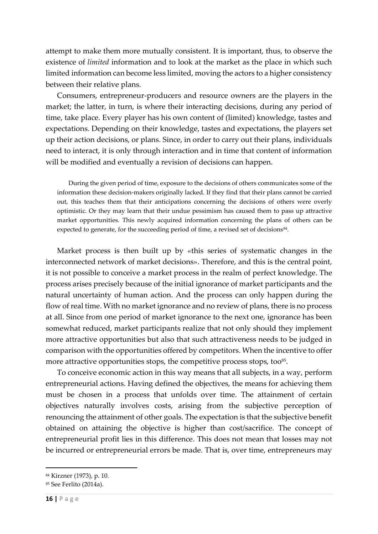attempt to make them more mutually consistent. It is important, thus, to observe the existence of *limited* information and to look at the market as the place in which such limited information can become less limited, moving the actors to a higher consistency between their relative plans.

Consumers, entrepreneur-producers and resource owners are the players in the market; the latter, in turn, is where their interacting decisions, during any period of time, take place. Every player has his own content of (limited) knowledge, tastes and expectations. Depending on their knowledge, tastes and expectations, the players set up their action decisions, or plans. Since, in order to carry out their plans, individuals need to interact, it is only through interaction and in time that content of information will be modified and eventually a revision of decisions can happen.

During the given period of time, exposure to the decisions of others communicates some of the information these decision-makers originally lacked. If they find that their plans cannot be carried out, this teaches them that their anticipations concerning the decisions of others were overly optimistic. Or they may learn that their undue pessimism has caused them to pass up attractive market opportunities. This newly acquired information concerning the plans of others can be expected to generate, for the succeeding period of time, a revised set of decisions 84 .

Market process is then built up by «this series of systematic changes in the interconnected network of market decisions». Therefore, and this is the central point, it is not possible to conceive a market process in the realm of perfect knowledge. The process arises precisely because of the initial ignorance of market participants and the natural uncertainty of human action. And the process can only happen during the flow of real time. With no market ignorance and no review of plans, there is no process at all. Since from one period of market ignorance to the next one, ignorance has been somewhat reduced, market participants realize that not only should they implement more attractive opportunities but also that such attractiveness needs to be judged in comparison with the opportunities offered by competitors. When the incentive to offer more attractive opportunities stops, the competitive process stops, too $85$ .

To conceive economic action in this way means that all subjects, in a way, perform entrepreneurial actions. Having defined the objectives, the means for achieving them must be chosen in a process that unfolds over time. The attainment of certain objectives naturally involves costs, arising from the subjective perception of renouncing the attainment of other goals. The expectation is that the subjective benefit obtained on attaining the objective is higher than cost/sacrifice. The concept of entrepreneurial profit lies in this difference. This does not mean that losses may not be incurred or entrepreneurial errors be made. That is, over time, entrepreneurs may

<sup>84</sup> Kirzner (1973), p. 10.

<sup>85</sup> See Ferlito (2014a).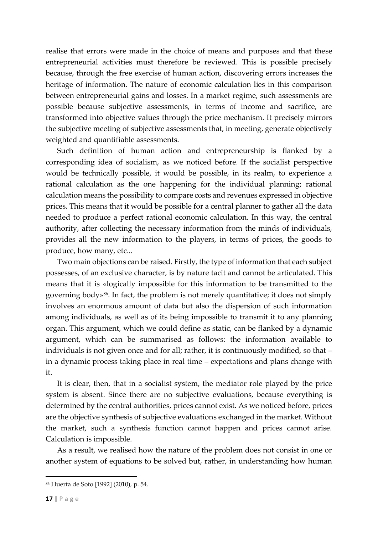realise that errors were made in the choice of means and purposes and that these entrepreneurial activities must therefore be reviewed. This is possible precisely because, through the free exercise of human action, discovering errors increases the heritage of information. The nature of economic calculation lies in this comparison between entrepreneurial gains and losses. In a market regime, such assessments are possible because subjective assessments, in terms of income and sacrifice, are transformed into objective values through the price mechanism. It precisely mirrors the subjective meeting of subjective assessments that, in meeting, generate objectively weighted and quantifiable assessments.

Such definition of human action and entrepreneurship is flanked by a corresponding idea of socialism, as we noticed before. If the socialist perspective would be technically possible, it would be possible, in its realm, to experience a rational calculation as the one happening for the individual planning; rational calculation means the possibility to compare costs and revenues expressed in objective prices. This means that it would be possible for a central planner to gather all the data needed to produce a perfect rational economic calculation. In this way, the central authority, after collecting the necessary information from the minds of individuals, provides all the new information to the players, in terms of prices, the goods to produce, how many, etc...

Two main objections can be raised. Firstly, the type of information that each subject possesses, of an exclusive character, is by nature tacit and cannot be articulated. This means that it is «logically impossible for this information to be transmitted to the governing body»86. In fact, the problem is not merely quantitative; it does not simply involves an enormous amount of data but also the dispersion of such information among individuals, as well as of its being impossible to transmit it to any planning organ. This argument, which we could define as static, can be flanked by a dynamic argument, which can be summarised as follows: the information available to individuals is not given once and for all; rather, it is continuously modified, so that – in a dynamic process taking place in real time – expectations and plans change with it.

It is clear, then, that in a socialist system, the mediator role played by the price system is absent. Since there are no subjective evaluations, because everything is determined by the central authorities, prices cannot exist. As we noticed before, prices are the objective synthesis of subjective evaluations exchanged in the market. Without the market, such a synthesis function cannot happen and prices cannot arise. Calculation is impossible.

As a result, we realised how the nature of the problem does not consist in one or another system of equations to be solved but, rather, in understanding how human

<sup>86</sup> Huerta de Soto [1992] (2010), p. 54.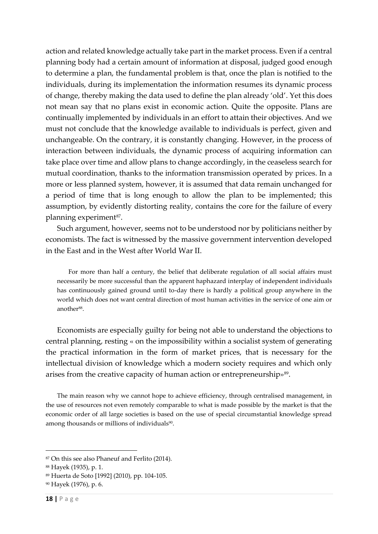action and related knowledge actually take part in the market process. Even if a central planning body had a certain amount of information at disposal, judged good enough to determine a plan, the fundamental problem is that, once the plan is notified to the individuals, during its implementation the information resumes its dynamic process of change, thereby making the data used to define the plan already 'old'. Yet this does not mean say that no plans exist in economic action. Quite the opposite. Plans are continually implemented by individuals in an effort to attain their objectives. And we must not conclude that the knowledge available to individuals is perfect, given and unchangeable. On the contrary, it is constantly changing. However, in the process of interaction between individuals, the dynamic process of acquiring information can take place over time and allow plans to change accordingly, in the ceaseless search for mutual coordination, thanks to the information transmission operated by prices. In a more or less planned system, however, it is assumed that data remain unchanged for a period of time that is long enough to allow the plan to be implemented; this assumption, by evidently distorting reality, contains the core for the failure of every planning experiment<sup>87</sup>.

Such argument, however, seems not to be understood nor by politicians neither by economists. The fact is witnessed by the massive government intervention developed in the East and in the West after World War II.

For more than half a century, the belief that deliberate regulation of all social affairs must necessarily be more successful than the apparent haphazard interplay of independent individuals has continuously gained ground until to-day there is hardly a political group anywhere in the world which does not want central direction of most human activities in the service of one aim or another<sup>88</sup>.

Economists are especially guilty for being not able to understand the objections to central planning, resting « on the impossibility within a socialist system of generating the practical information in the form of market prices, that is necessary for the intellectual division of knowledge which a modern society requires and which only arises from the creative capacity of human action or entrepreneurship» $^{89}$ .

The main reason why we cannot hope to achieve efficiency, through centralised management, in the use of resources not even remotely comparable to what is made possible by the market is that the economic order of all large societies is based on the use of special circumstantial knowledge spread among thousands or millions of individuals<sup>90</sup>.

<sup>87</sup> On this see also Phaneuf and Ferlito (2014).

<sup>88</sup> Hayek (1935), p. 1.

<sup>89</sup> Huerta de Soto [1992] (2010), pp. 104-105.

<sup>90</sup> Hayek (1976), p. 6.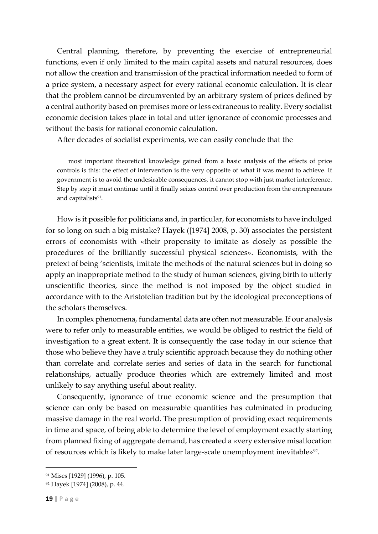Central planning, therefore, by preventing the exercise of entrepreneurial functions, even if only limited to the main capital assets and natural resources, does not allow the creation and transmission of the practical information needed to form of a price system, a necessary aspect for every rational economic calculation. It is clear that the problem cannot be circumvented by an arbitrary system of prices defined by a central authority based on premises more or less extraneous to reality. Every socialist economic decision takes place in total and utter ignorance of economic processes and without the basis for rational economic calculation.

After decades of socialist experiments, we can easily conclude that the

most important theoretical knowledge gained from a basic analysis of the effects of price controls is this: the effect of intervention is the very opposite of what it was meant to achieve. If government is to avoid the undesirable consequences, it cannot stop with just market interference. Step by step it must continue until it finally seizes control over production from the entrepreneurs and capitalists<sup>91</sup>.

How is it possible for politicians and, in particular, for economists to have indulged for so long on such a big mistake? Hayek ([1974] 2008, p. 30) associates the persistent errors of economists with «their propensity to imitate as closely as possible the procedures of the brilliantly successful physical sciences». Economists, with the pretext of being 'scientists, imitate the methods of the natural sciences but in doing so apply an inappropriate method to the study of human sciences, giving birth to utterly unscientific theories, since the method is not imposed by the object studied in accordance with to the Aristotelian tradition but by the ideological preconceptions of the scholars themselves.

In complex phenomena, fundamental data are often not measurable. If our analysis were to refer only to measurable entities, we would be obliged to restrict the field of investigation to a great extent. It is consequently the case today in our science that those who believe they have a truly scientific approach because they do nothing other than correlate and correlate series and series of data in the search for functional relationships, actually produce theories which are extremely limited and most unlikely to say anything useful about reality.

Consequently, ignorance of true economic science and the presumption that science can only be based on measurable quantities has culminated in producing massive damage in the real world. The presumption of providing exact requirements in time and space, of being able to determine the level of employment exactly starting from planned fixing of aggregate demand, has created a «very extensive misallocation of resources which is likely to make later large-scale unemployment inevitable»<sup>92</sup>.

<sup>91</sup> Mises [1929] (1996), p. 105.

<sup>92</sup> Hayek [1974] (2008), p. 44.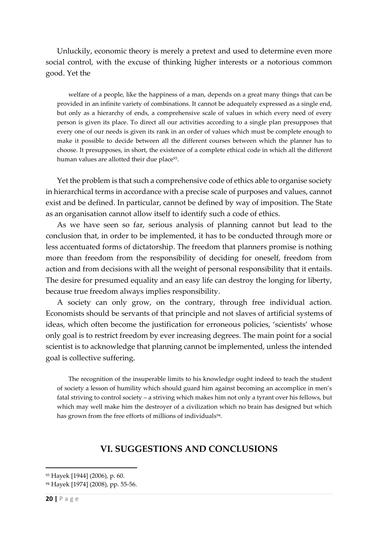Unluckily, economic theory is merely a pretext and used to determine even more social control, with the excuse of thinking higher interests or a notorious common good. Yet the

welfare of a people, like the happiness of a man, depends on a great many things that can be provided in an infinite variety of combinations. It cannot be adequately expressed as a single end, but only as a hierarchy of ends, a comprehensive scale of values in which every need of every person is given its place. To direct all our activities according to a single plan presupposes that every one of our needs is given its rank in an order of values which must be complete enough to make it possible to decide between all the different courses between which the planner has to choose. It presupposes, in short, the existence of a complete ethical code in which all the different human values are allotted their due place<sup>93</sup>.

Yet the problem is that such a comprehensive code of ethics able to organise society in hierarchical terms in accordance with a precise scale of purposes and values, cannot exist and be defined. In particular, cannot be defined by way of imposition. The State as an organisation cannot allow itself to identify such a code of ethics.

As we have seen so far, serious analysis of planning cannot but lead to the conclusion that, in order to be implemented, it has to be conducted through more or less accentuated forms of dictatorship. The freedom that planners promise is nothing more than freedom from the responsibility of deciding for oneself, freedom from action and from decisions with all the weight of personal responsibility that it entails. The desire for presumed equality and an easy life can destroy the longing for liberty, because true freedom always implies responsibility.

A society can only grow, on the contrary, through free individual action. Economists should be servants of that principle and not slaves of artificial systems of ideas, which often become the justification for erroneous policies, 'scientists' whose only goal is to restrict freedom by ever increasing degrees. The main point for a social scientist is to acknowledge that planning cannot be implemented, unless the intended goal is collective suffering.

The recognition of the insuperable limits to his knowledge ought indeed to teach the student of society a lesson of humility which should guard him against becoming an accomplice in men's fatal striving to control society – a striving which makes him not only a tyrant over his fellows, but which may well make him the destroyer of a civilization which no brain has designed but which has grown from the free efforts of millions of individuals<sup>94</sup>.

#### **VI. SUGGESTIONS AND CONCLUSIONS**

<sup>93</sup> Hayek [1944] (2006), p. 60.

<sup>94</sup> Hayek [1974] (2008), pp. 55-56.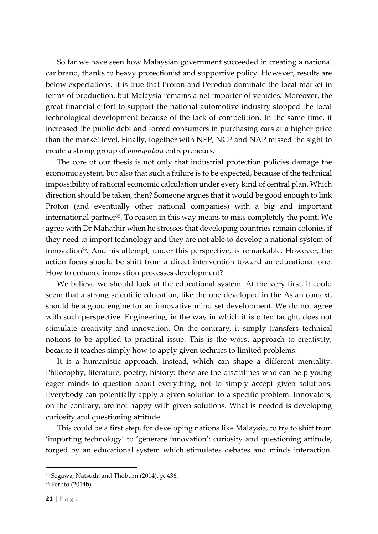So far we have seen how Malaysian government succeeded in creating a national car brand, thanks to heavy protectionist and supportive policy. However, results are below expectations. It is true that Proton and Perodua dominate the local market in terms of production, but Malaysia remains a net importer of vehicles. Moreover, the great financial effort to support the national automotive industry stopped the local technological development because of the lack of competition. In the same time, it increased the public debt and forced consumers in purchasing cars at a higher price than the market level. Finally, together with NEP, NCP and NAP missed the sight to create a strong group of *bumiputera* entrepreneurs.

The core of our thesis is not only that industrial protection policies damage the economic system, but also that such a failure is to be expected, because of the technical impossibility of rational economic calculation under every kind of central plan. Which direction should be taken, then? Someone argues that it would be good enough to link Proton (and eventually other national companies) with a big and important international partner<sup>95</sup>. To reason in this way means to miss completely the point. We agree with Dr Mahathir when he stresses that developing countries remain colonies if they need to import technology and they are not able to develop a national system of innovation<sup>96</sup>. And his attempt, under this perspective, is remarkable. However, the action focus should be shift from a direct intervention toward an educational one. How to enhance innovation processes development?

We believe we should look at the educational system. At the very first, it could seem that a strong scientific education, like the one developed in the Asian context, should be a good engine for an innovative mind set development. We do not agree with such perspective. Engineering, in the way in which it is often taught, does not stimulate creativity and innovation. On the contrary, it simply transfers technical notions to be applied to practical issue. This is the worst approach to creativity, because it teaches simply how to apply given technics to limited problems.

It is a humanistic approach, instead, which can shape a different mentality. Philosophy, literature, poetry, history: these are the disciplines who can help young eager minds to question about everything, not to simply accept given solutions. Everybody can potentially apply a given solution to a specific problem. Innovators, on the contrary, are not happy with given solutions. What is needed is developing curiosity and questioning attitude.

This could be a first step, for developing nations like Malaysia, to try to shift from 'importing technology' to 'generate innovation': curiosity and questioning attitude, forged by an educational system which stimulates debates and minds interaction.

<sup>95</sup> Segawa, Natsuda and Thoburn (2014), p. 436.

<sup>&</sup>lt;sup>96</sup> Ferlito (2014b).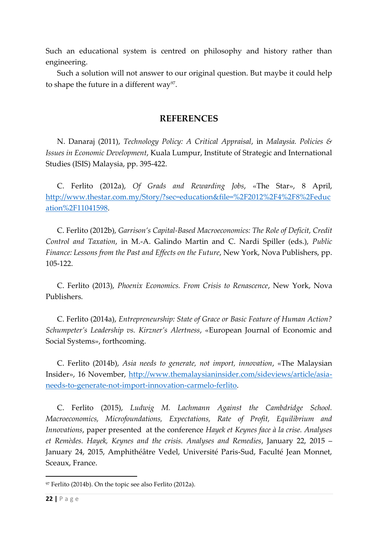Such an educational system is centred on philosophy and history rather than engineering.

Such a solution will not answer to our original question. But maybe it could help to shape the future in a different way<sup>97</sup>.

#### **REFERENCES**

N. Danaraj (2011), *Technology Policy: A Critical Appraisal*, in *Malaysia. Policies & Issues in Economic Development*, Kuala Lumpur, Institute of Strategic and International Studies (ISIS) Malaysia, pp. 395-422.

C. Ferlito (2012a), *Of Grads and Rewarding Jobs*, «The Star», 8 April, [http://www.thestar.com.my/Story/?sec=education&file=%2F2012%2F4%2F8%2Feduc](http://www.thestar.com.my/Story/?sec=education&file=%2F2012%2F4%2F8%2Feducation%2F11041598) [ation%2F11041598.](http://www.thestar.com.my/Story/?sec=education&file=%2F2012%2F4%2F8%2Feducation%2F11041598)

C. Ferlito (2012b), *Garrison's Capital-Based Macroeconomics: The Role of Deficit, Credit Control and Taxation*, in M.-A. Galindo Martin and C. Nardi Spiller (eds.), *Public Finance: Lessons from the Past and Effects on the Future*, New York, Nova Publishers, pp. 105-122.

C. Ferlito (2013), *Phoenix Economics. From Crisis to Renascence*, New York, Nova Publishers.

C. Ferlito (2014a), *Entrepreneurship: State of Grace or Basic Feature of Human Action? Schumpeter's Leadership vs. Kirzner's Alertness*, «European Journal of Economic and Social Systems», forthcoming.

C. Ferlito (2014b), *Asia needs to generate, not import, innovation*, «The Malaysian Insider», 16 November, [http://www.themalaysianinsider.com/sideviews/article/asia](http://www.themalaysianinsider.com/sideviews/article/asia-needs-to-generate-not-import-innovation-carmelo-ferlito)[needs-to-generate-not-import-innovation-carmelo-ferlito.](http://www.themalaysianinsider.com/sideviews/article/asia-needs-to-generate-not-import-innovation-carmelo-ferlito)

C. Ferlito (2015), *Ludwig M. Lachmann Against the Cambdridge School. Macroeconomics, Microfoundations, Expectations, Rate of Profit, Equilibrium and Innovations*, paper presented at the conference *Hayek et Keynes face à la crise. Analyses et Remèdes. Hayek, Keynes and the crisis. Analyses and Remedies*, January 22, 2015 – January 24, 2015, Amphithéâtre Vedel, Université Paris-Sud, Faculté Jean Monnet, Sceaux, France.

<sup>97</sup> Ferlito (2014b). On the topic see also Ferlito (2012a).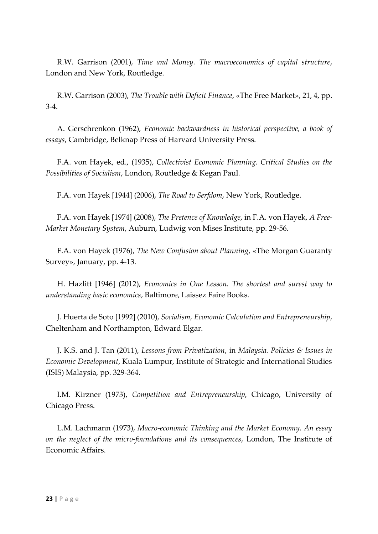R.W. Garrison (2001), *Time and Money. The macroeconomics of capital structure*, London and New York, Routledge.

R.W. Garrison (2003), *The Trouble with Deficit Finance*, «The Free Market», 21, 4, pp. 3-4.

A. Gerschrenkon (1962), *Economic backwardness in historical perspective, a book of essays*, Cambridge, Belknap Press of Harvard University Press.

F.A. von Hayek, ed., (1935), *Collectivist Economic Planning. Critical Studies on the Possibilities of Socialism*, London, Routledge & Kegan Paul.

F.A. von Hayek [1944] (2006), *The Road to Serfdom*, New York, Routledge.

F.A. von Hayek [1974] (2008), *The Pretence of Knowledge*, in F.A. von Hayek, *A Free-Market Monetary System*, Auburn, Ludwig von Mises Institute, pp. 29-56.

F.A. von Hayek (1976), *The New Confusion about Planning*, «The Morgan Guaranty Survey», January, pp. 4-13.

H. Hazlitt [1946] (2012), *Economics in One Lesson. The shortest and surest way to understanding basic economics*, Baltimore, Laissez Faire Books.

J. Huerta de Soto [1992] (2010), *Socialism, Economic Calculation and Entrepreneurship*, Cheltenham and Northampton, Edward Elgar.

J. K.S. and J. Tan (2011), *Lessons from Privatization*, in *Malaysia. Policies & Issues in Economic Development*, Kuala Lumpur, Institute of Strategic and International Studies (ISIS) Malaysia, pp. 329-364.

I.M. Kirzner (1973), *Competition and Entrepreneurship*, Chicago, University of Chicago Press.

L.M. Lachmann (1973), *Macro-economic Thinking and the Market Economy. An essay on the neglect of the micro-foundations and its consequences*, London, The Institute of Economic Affairs.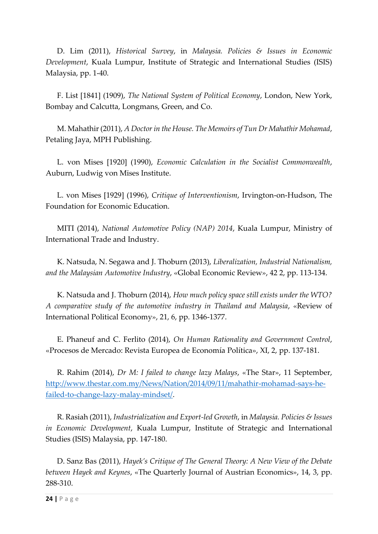D. Lim (2011), *Historical Survey*, in *Malaysia. Policies & Issues in Economic Development*, Kuala Lumpur, Institute of Strategic and International Studies (ISIS) Malaysia, pp. 1-40.

F. List [1841] (1909), *The National System of Political Economy*, London, New York, Bombay and Calcutta, Longmans, Green, and Co.

M. Mahathir (2011), *A Doctor in the House. The Memoirs of Tun Dr Mahathir Mohamad*, Petaling Jaya, MPH Publishing.

L. von Mises [1920] (1990), *Economic Calculation in the Socialist Commonwealth*, Auburn, Ludwig von Mises Institute.

L. von Mises [1929] (1996), *Critique of Interventionism*, Irvington-on-Hudson, The Foundation for Economic Education.

MITI (2014), *National Automotive Policy (NAP) 2014*, Kuala Lumpur, Ministry of International Trade and Industry.

K. Natsuda, N. Segawa and J. Thoburn (2013), *Liberalization, Industrial Nationalism, and the Malaysian Automotive Industry*, «Global Economic Review», 42 2, pp. 113-134.

K. Natsuda and J. Thoburn (2014), *How much policy space still exists under the WTO? A comparative study of the automotive industry in Thailand and Malaysia*, «Review of International Political Economy», 21, 6, pp. 1346-1377.

E. Phaneuf and C. Ferlito (2014), *On Human Rationality and Government Control*, «Procesos de Mercado: Revista Europea de Economía Política», XI, 2, pp. 137-181.

R. Rahim (2014), *Dr M: I failed to change lazy Malays*, «The Star», 11 September, [http://www.thestar.com.my/News/Nation/2014/09/11/mahathir-mohamad-says-he](http://www.thestar.com.my/News/Nation/2014/09/11/mahathir-mohamad-says-he-failed-to-change-lazy-malay-mindset/)[failed-to-change-lazy-malay-mindset/.](http://www.thestar.com.my/News/Nation/2014/09/11/mahathir-mohamad-says-he-failed-to-change-lazy-malay-mindset/)

R. Rasiah (2011), *Industrialization and Export-led Growth*, in *Malaysia. Policies & Issues in Economic Development*, Kuala Lumpur, Institute of Strategic and International Studies (ISIS) Malaysia, pp. 147-180.

D. Sanz Bas (2011), *Hayek's Critique of The General Theory: A New View of the Debate between Hayek and Keynes*, «The Quarterly Journal of Austrian Economics», 14, 3, pp. 288-310.